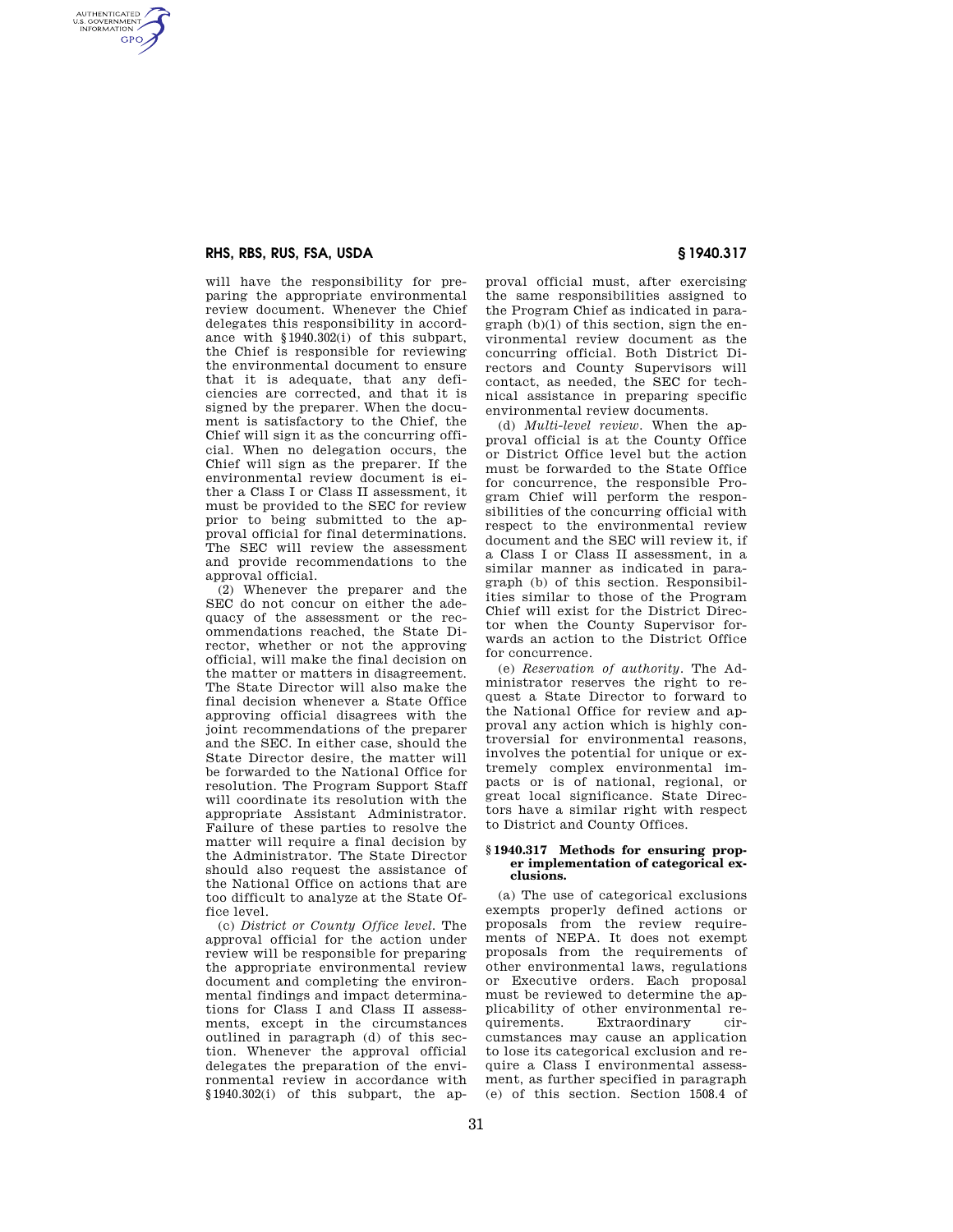## **RHS, RBS, RUS, FSA, USDA § 1940.317**

AUTHENTICATED<br>U.S. GOVERNMENT<br>INFORMATION **GPO** 

> will have the responsibility for preparing the appropriate environmental review document. Whenever the Chief delegates this responsibility in accordance with §1940.302(i) of this subpart, the Chief is responsible for reviewing the environmental document to ensure that it is adequate, that any deficiencies are corrected, and that it is signed by the preparer. When the document is satisfactory to the Chief, the Chief will sign it as the concurring official. When no delegation occurs, the Chief will sign as the preparer. If the environmental review document is either a Class I or Class II assessment, it must be provided to the SEC for review prior to being submitted to the approval official for final determinations. The SEC will review the assessment and provide recommendations to the approval official.

> (2) Whenever the preparer and the SEC do not concur on either the adequacy of the assessment or the recommendations reached, the State Director, whether or not the approving official, will make the final decision on the matter or matters in disagreement. The State Director will also make the final decision whenever a State Office approving official disagrees with the joint recommendations of the preparer and the SEC. In either case, should the State Director desire, the matter will be forwarded to the National Office for resolution. The Program Support Staff will coordinate its resolution with the appropriate Assistant Administrator. Failure of these parties to resolve the matter will require a final decision by the Administrator. The State Director should also request the assistance of the National Office on actions that are too difficult to analyze at the State Office level.

> (c) *District or County Office level.* The approval official for the action under review will be responsible for preparing the appropriate environmental review document and completing the environmental findings and impact determinations for Class I and Class II assessments, except in the circumstances outlined in paragraph (d) of this section. Whenever the approval official delegates the preparation of the environmental review in accordance with §1940.302(i) of this subpart, the ap-

proval official must, after exercising the same responsibilities assigned to the Program Chief as indicated in paragraph (b)(1) of this section, sign the environmental review document as the concurring official. Both District Directors and County Supervisors will contact, as needed, the SEC for technical assistance in preparing specific environmental review documents.

(d) *Multi-level review.* When the approval official is at the County Office or District Office level but the action must be forwarded to the State Office for concurrence, the responsible Program Chief will perform the responsibilities of the concurring official with respect to the environmental review document and the SEC will review it, if a Class I or Class II assessment, in a similar manner as indicated in paragraph (b) of this section. Responsibilities similar to those of the Program Chief will exist for the District Director when the County Supervisor forwards an action to the District Office for concurrence.

(e) *Reservation of authority.* The Administrator reserves the right to request a State Director to forward to the National Office for review and approval any action which is highly controversial for environmental reasons, involves the potential for unique or extremely complex environmental impacts or is of national, regional, or great local significance. State Directors have a similar right with respect to District and County Offices.

#### **§ 1940.317 Methods for ensuring proper implementation of categorical exclusions.**

(a) The use of categorical exclusions exempts properly defined actions or proposals from the review requirements of NEPA. It does not exempt proposals from the requirements of other environmental laws, regulations or Executive orders. Each proposal must be reviewed to determine the applicability of other environmental requirements. Extraordinary circumstances may cause an application to lose its categorical exclusion and require a Class I environmental assessment, as further specified in paragraph (e) of this section. Section 1508.4 of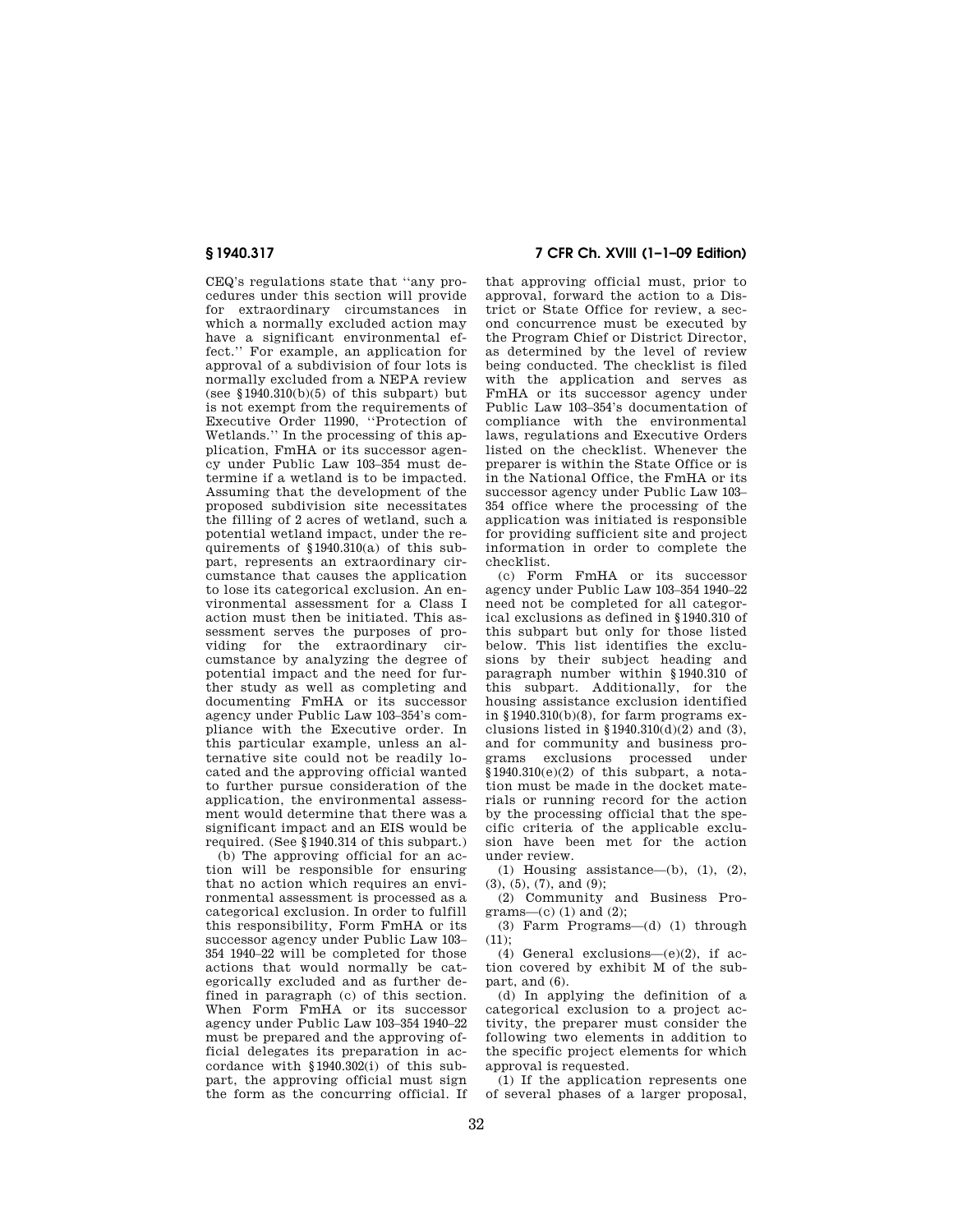CEQ's regulations state that ''any procedures under this section will provide for extraordinary circumstances in which a normally excluded action may have a significant environmental effect.'' For example, an application for approval of a subdivision of four lots is normally excluded from a NEPA review (see  $$1940.310(b)(5)$  of this subpart) but is not exempt from the requirements of Executive Order 11990, ''Protection of Wetlands.'' In the processing of this application, FmHA or its successor agency under Public Law 103–354 must determine if a wetland is to be impacted. Assuming that the development of the proposed subdivision site necessitates the filling of 2 acres of wetland, such a potential wetland impact, under the requirements of §1940.310(a) of this subpart, represents an extraordinary circumstance that causes the application to lose its categorical exclusion. An environmental assessment for a Class I action must then be initiated. This assessment serves the purposes of providing for the extraordinary circumstance by analyzing the degree of potential impact and the need for further study as well as completing and documenting FmHA or its successor agency under Public Law 103–354's compliance with the Executive order. In this particular example, unless an alternative site could not be readily located and the approving official wanted to further pursue consideration of the application, the environmental assessment would determine that there was a significant impact and an EIS would be required. (See §1940.314 of this subpart.)

(b) The approving official for an action will be responsible for ensuring that no action which requires an environmental assessment is processed as a categorical exclusion. In order to fulfill this responsibility, Form FmHA or its successor agency under Public Law 103– 354 1940–22 will be completed for those actions that would normally be categorically excluded and as further defined in paragraph (c) of this section. When Form FmHA or its successor agency under Public Law 103–354 1940–22 must be prepared and the approving official delegates its preparation in accordance with §1940.302(i) of this subpart, the approving official must sign the form as the concurring official. If

# **§ 1940.317 7 CFR Ch. XVIII (1–1–09 Edition)**

that approving official must, prior to approval, forward the action to a District or State Office for review, a second concurrence must be executed by the Program Chief or District Director, as determined by the level of review being conducted. The checklist is filed with the application and serves as FmHA or its successor agency under Public Law 103–354's documentation of compliance with the environmental laws, regulations and Executive Orders listed on the checklist. Whenever the preparer is within the State Office or is in the National Office, the FmHA or its successor agency under Public Law 103– 354 office where the processing of the application was initiated is responsible for providing sufficient site and project information in order to complete the checklist.

(c) Form FmHA or its successor agency under Public Law 103–354 1940–22 need not be completed for all categorical exclusions as defined in §1940.310 of this subpart but only for those listed below. This list identifies the exclusions by their subject heading and paragraph number within §1940.310 of this subpart. Additionally, for the housing assistance exclusion identified in §1940.310(b)(8), for farm programs exclusions listed in  $$1940.310(d)(2)$  and (3), and for community and business programs exclusions processed under  $§1940.310(e)(2)$  of this subpart, a notation must be made in the docket materials or running record for the action by the processing official that the specific criteria of the applicable exclusion have been met for the action under review.

(1) Housing assistance—(b), (1), (2), (3), (5), (7), and (9);

(2) Community and Business Programs—(c)  $(1)$  and  $(2)$ ;

(3) Farm Programs—(d) (1) through  $(11)$ ;

(4) General exclusions—(e)(2), if action covered by exhibit M of the subpart, and (6).

(d) In applying the definition of a categorical exclusion to a project activity, the preparer must consider the following two elements in addition to the specific project elements for which approval is requested.

(1) If the application represents one of several phases of a larger proposal,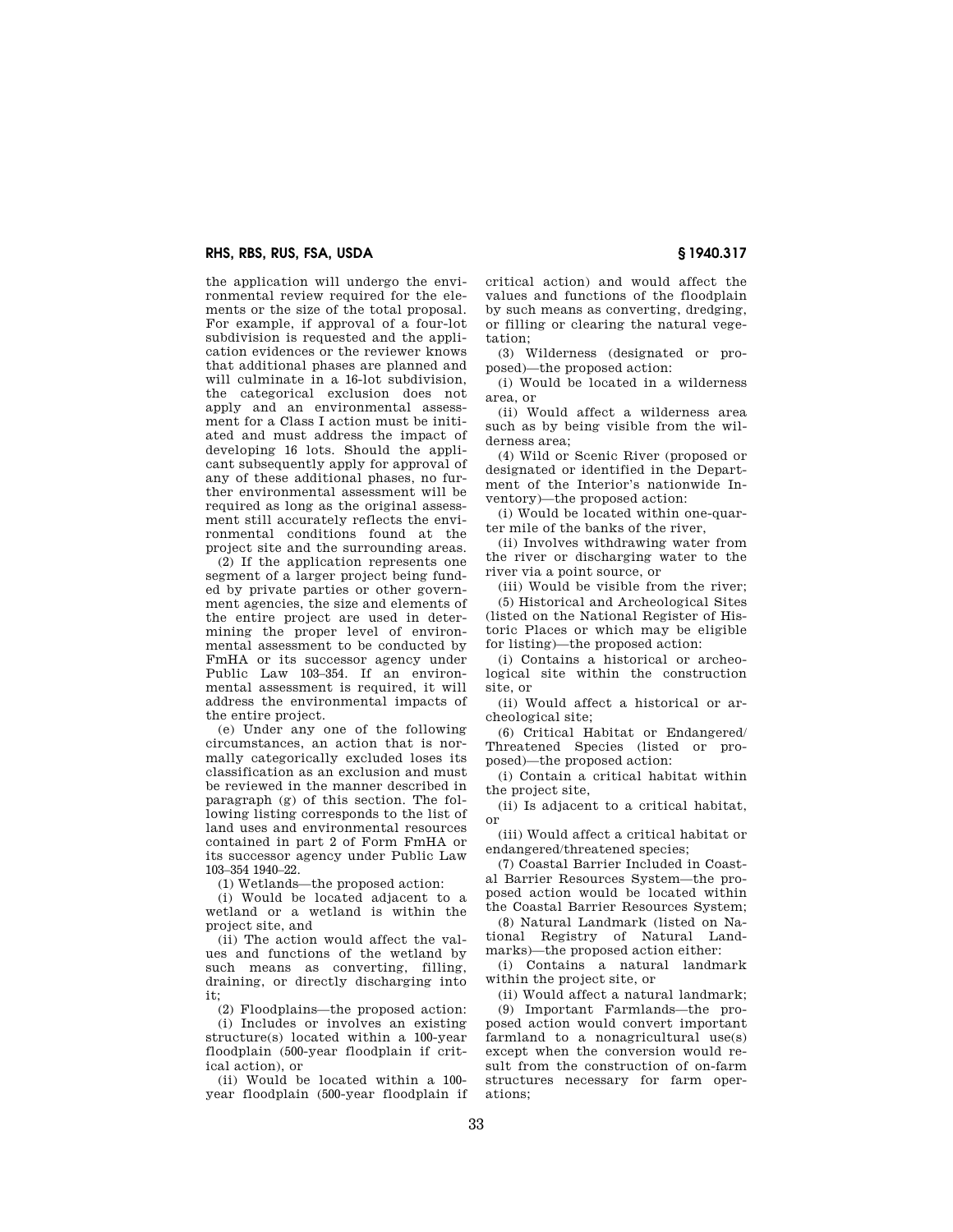the application will undergo the environmental review required for the elements or the size of the total proposal. For example, if approval of a four-lot subdivision is requested and the application evidences or the reviewer knows that additional phases are planned and will culminate in a 16-lot subdivision, the categorical exclusion does not apply and an environmental assessment for a Class I action must be initiated and must address the impact of developing 16 lots. Should the applicant subsequently apply for approval of any of these additional phases, no further environmental assessment will be required as long as the original assessment still accurately reflects the environmental conditions found at the project site and the surrounding areas.

(2) If the application represents one segment of a larger project being funded by private parties or other government agencies, the size and elements of the entire project are used in determining the proper level of environmental assessment to be conducted by FmHA or its successor agency under Public Law 103–354. If an environmental assessment is required, it will address the environmental impacts of the entire project.

(e) Under any one of the following circumstances, an action that is normally categorically excluded loses its classification as an exclusion and must be reviewed in the manner described in paragraph (g) of this section. The following listing corresponds to the list of land uses and environmental resources contained in part 2 of Form FmHA or its successor agency under Public Law 103–354 1940–22.

(1) Wetlands—the proposed action:

(i) Would be located adjacent to a wetland or a wetland is within the project site, and

(ii) The action would affect the values and functions of the wetland by such means as converting, filling, draining, or directly discharging into it;

(2) Floodplains—the proposed action:

(i) Includes or involves an existing structure(s) located within a 100-year floodplain (500-year floodplain if critical action), or

(ii) Would be located within a 100 year floodplain (500-year floodplain if

critical action) and would affect the values and functions of the floodplain by such means as converting, dredging, or filling or clearing the natural vegetation;

(3) Wilderness (designated or proposed)—the proposed action:

(i) Would be located in a wilderness area, or

(ii) Would affect a wilderness area such as by being visible from the wilderness area;

(4) Wild or Scenic River (proposed or designated or identified in the Department of the Interior's nationwide Inventory)—the proposed action:

(i) Would be located within one-quarter mile of the banks of the river,

(ii) Involves withdrawing water from the river or discharging water to the river via a point source, or

(iii) Would be visible from the river; (5) Historical and Archeological Sites (listed on the National Register of Historic Places or which may be eligible for listing)—the proposed action:

(i) Contains a historical or archeological site within the construction site, or

(ii) Would affect a historical or archeological site;

(6) Critical Habitat or Endangered/ Threatened Species (listed or proposed)—the proposed action:

(i) Contain a critical habitat within the project site,

(ii) Is adjacent to a critical habitat, or

(iii) Would affect a critical habitat or endangered/threatened species;

(7) Coastal Barrier Included in Coastal Barrier Resources System—the proposed action would be located within the Coastal Barrier Resources System;

(8) Natural Landmark (listed on National Registry of Natural Landmarks)—the proposed action either:

(i) Contains a natural landmark within the project site, or

(ii) Would affect a natural landmark; (9) Important Farmlands—the proposed action would convert important farmland to a nonagricultural use(s) except when the conversion would result from the construction of on-farm structures necessary for farm operations;